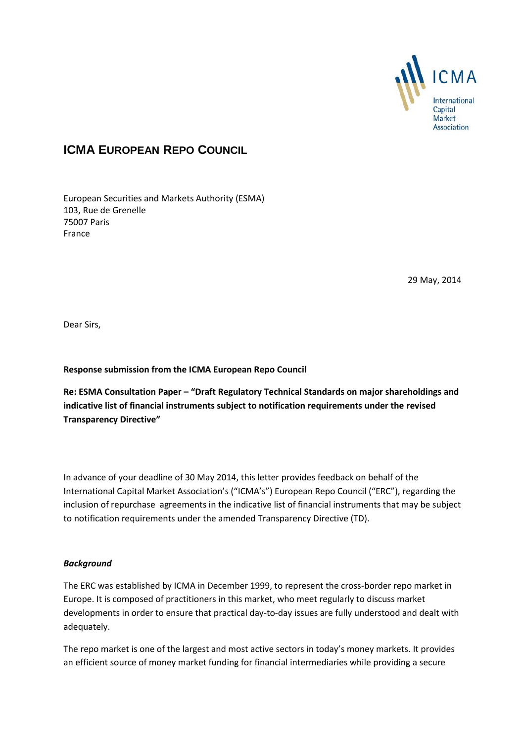

## **ICMA EUROPEAN REPO COUNCIL**

European Securities and Markets Authority (ESMA) 103, Rue de Grenelle 75007 Paris France

29 May, 2014

Dear Sirs,

**Response submission from the ICMA European Repo Council** 

**Re: ESMA Consultation Paper – "Draft Regulatory Technical Standards on major shareholdings and indicative list of financial instruments subject to notification requirements under the revised Transparency Directive"**

In advance of your deadline of 30 May 2014, this letter provides feedback on behalf of the International Capital Market Association's ("ICMA's") European Repo Council ("ERC"), regarding the inclusion of repurchase agreements in the indicative list of financial instruments that may be subject to notification requirements under the amended Transparency Directive (TD).

## *Background*

The ERC was established by ICMA in December 1999, to represent the cross-border repo market in Europe. It is composed of practitioners in this market, who meet regularly to discuss market developments in order to ensure that practical day-to-day issues are fully understood and dealt with adequately.

The repo market is one of the largest and most active sectors in today's money markets. It provides an efficient source of money market funding for financial intermediaries while providing a secure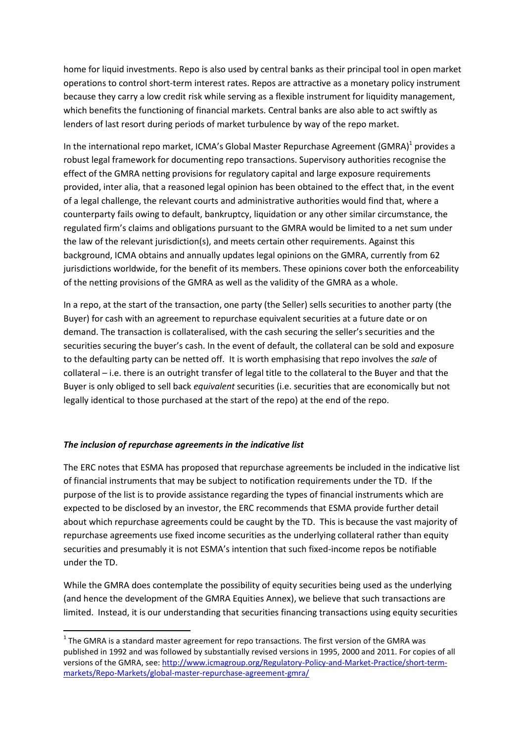home for liquid investments. Repo is also used by central banks as their principal tool in open market operations to control short-term interest rates. Repos are attractive as a monetary policy instrument because they carry a low credit risk while serving as a flexible instrument for liquidity management, which benefits the functioning of financial markets. Central banks are also able to act swiftly as lenders of last resort during periods of market turbulence by way of the repo market.

In the international repo market, ICMA's Global Master Repurchase Agreement (GMRA)<sup>1</sup> provides a robust legal framework for documenting repo transactions. Supervisory authorities recognise the effect of the GMRA netting provisions for regulatory capital and large exposure requirements provided, inter alia, that a reasoned legal opinion has been obtained to the effect that, in the event of a legal challenge, the relevant courts and administrative authorities would find that, where a counterparty fails owing to default, bankruptcy, liquidation or any other similar circumstance, the regulated firm's claims and obligations pursuant to the GMRA would be limited to a net sum under the law of the relevant jurisdiction(s), and meets certain other requirements. Against this background, ICMA obtains and annually updates legal opinions on the GMRA, currently from 62 jurisdictions worldwide, for the benefit of its members. These opinions cover both the enforceability of the netting provisions of the GMRA as well as the validity of the GMRA as a whole.

In a repo, at the start of the transaction, one party (the Seller) sells securities to another party (the Buyer) for cash with an agreement to repurchase equivalent securities at a future date or on demand. The transaction is collateralised, with the cash securing the seller's securities and the securities securing the buyer's cash. In the event of default, the collateral can be sold and exposure to the defaulting party can be netted off. It is worth emphasising that repo involves the *sale* of collateral – i.e. there is an outright transfer of legal title to the collateral to the Buyer and that the Buyer is only obliged to sell back *equivalent* securities (i.e. securities that are economically but not legally identical to those purchased at the start of the repo) at the end of the repo.

## *The inclusion of repurchase agreements in the indicative list*

**.** 

The ERC notes that ESMA has proposed that repurchase agreements be included in the indicative list of financial instruments that may be subject to notification requirements under the TD. If the purpose of the list is to provide assistance regarding the types of financial instruments which are expected to be disclosed by an investor, the ERC recommends that ESMA provide further detail about which repurchase agreements could be caught by the TD. This is because the vast majority of repurchase agreements use fixed income securities as the underlying collateral rather than equity securities and presumably it is not ESMA's intention that such fixed-income repos be notifiable under the TD.

While the GMRA does contemplate the possibility of equity securities being used as the underlying (and hence the development of the GMRA Equities Annex), we believe that such transactions are limited. Instead, it is our understanding that securities financing transactions using equity securities

 $1$  The GMRA is a standard master agreement for repo transactions. The first version of the GMRA was published in 1992 and was followed by substantially revised versions in 1995, 2000 and 2011. For copies of all versions of the GMRA, see: [http://www.icmagroup.org/Regulatory-Policy-and-Market-Practice/short-term](http://www.icmagroup.org/Regulatory-Policy-and-Market-Practice/short-term-markets/Repo-Markets/global-master-repurchase-agreement-gmra/)[markets/Repo-Markets/global-master-repurchase-agreement-gmra/](http://www.icmagroup.org/Regulatory-Policy-and-Market-Practice/short-term-markets/Repo-Markets/global-master-repurchase-agreement-gmra/)